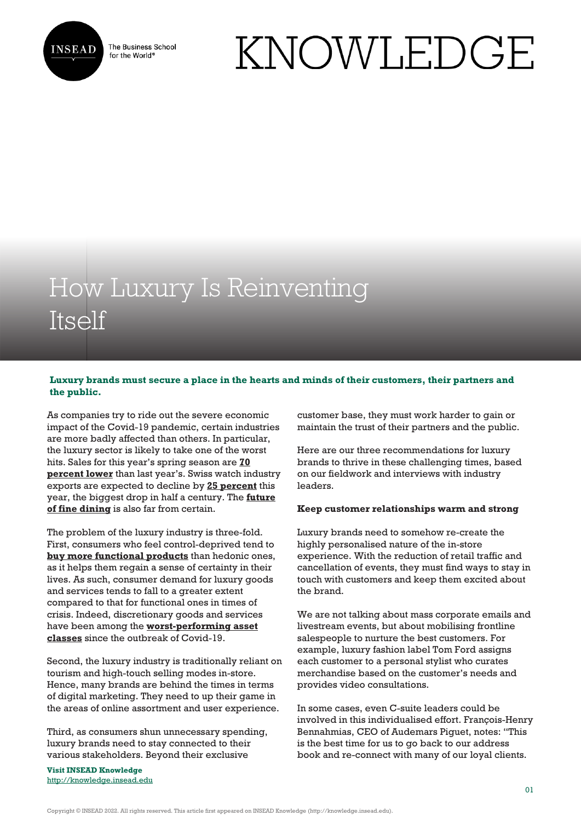

The Business School for the World<sup>®</sup>

# KNOWLEDGE

# How Luxury Is Reinventing Itself

## **Luxury brands must secure a place in the hearts and minds of their customers, their partners and the public.**

As companies try to ride out the severe economic impact of the Covid-19 pandemic, certain industries are more badly affected than others. In particular, the luxury sector is likely to take one of the worst hits. Sales for this year's spring season are **[70](https://www.mckinsey.com/industries/retail/our-insights/a-perspective-for-the-luxury-goods-industry-during-and-after-coronavirus) [percent lower](https://www.mckinsey.com/industries/retail/our-insights/a-perspective-for-the-luxury-goods-industry-during-and-after-coronavirus)** than last year's. Swiss watch industry exports are expected to decline by **[25 percent](https://www.swissinfo.ch/eng/troubling-time-_swiss-watch-exports-predicted-to-fall-by-25--in-2020/45660326)** this year, the biggest drop in half a century. The **[future](https://www.scmp.com/magazines/style/news-trends/article/3082154/can-worlds-best-restaurants-survive-coronavirus-after) [of fine dining](https://www.scmp.com/magazines/style/news-trends/article/3082154/can-worlds-best-restaurants-survive-coronavirus-after)** is also far from certain.

The problem of the luxury industry is three-fold. First, consumers who feel control-deprived tend to **[buy more functional products](https://knowledge.insead.edu/marketing/consumers-who-lack-control-seek-functional-products-5766)** than hedonic ones, as it helps them regain a sense of certainty in their lives. As such, consumer demand for luxury goods and services tends to fall to a greater extent compared to that for functional ones in times of crisis. Indeed, discretionary goods and services have been among the **[worst-performing asset](https://investors-corner.bnpparibas-am.com/investing/coronavirus-lessons-from-sars-for-investors/) [classes](https://investors-corner.bnpparibas-am.com/investing/coronavirus-lessons-from-sars-for-investors/)** since the outbreak of Covid-19.

Second, the luxury industry is traditionally reliant on tourism and high-touch selling modes in-store. Hence, many brands are behind the times in terms of digital marketing. They need to up their game in the areas of online assortment and user experience.

Third, as consumers shun unnecessary spending, luxury brands need to stay connected to their various stakeholders. Beyond their exclusive

**Visit INSEAD Knowledge** <http://knowledge.insead.edu> customer base, they must work harder to gain or maintain the trust of their partners and the public.

Here are our three recommendations for luxury brands to thrive in these challenging times, based on our fieldwork and interviews with industry leaders.

#### **Keep customer relationships warm and strong**

Luxury brands need to somehow re-create the highly personalised nature of the in-store experience. With the reduction of retail traffic and cancellation of events, they must find ways to stay in touch with customers and keep them excited about the brand.

We are not talking about mass corporate emails and livestream events, but about mobilising frontline salespeople to nurture the best customers. For example, luxury fashion label Tom Ford assigns each customer to a personal stylist who curates merchandise based on the customer's needs and provides video consultations.

In some cases, even C-suite leaders could be involved in this individualised effort. François-Henry Bennahmias, CEO of Audemars Piguet, notes: "This is the best time for us to go back to our address book and re-connect with many of our loyal clients.

Copyright © INSEAD 2022. All rights reserved. This article first appeared on INSEAD Knowledge (http://knowledge.insead.edu).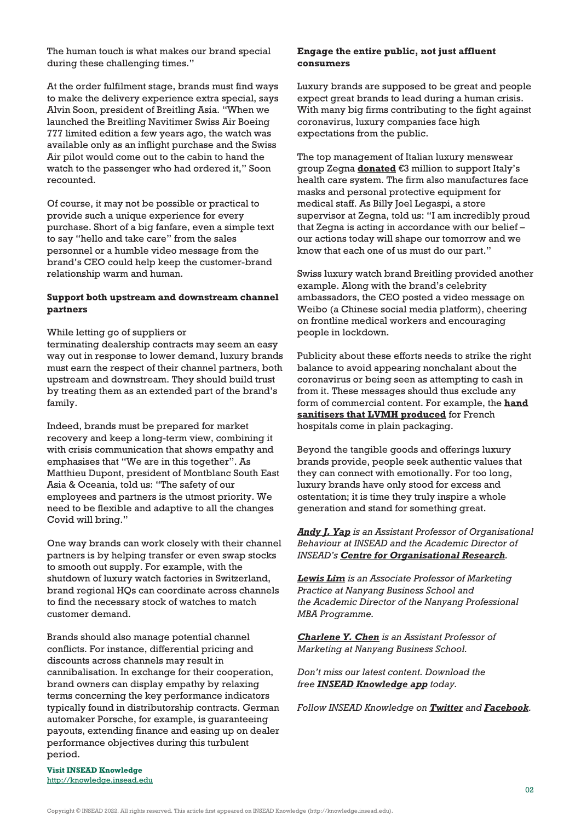The human touch is what makes our brand special during these challenging times."

At the order fulfilment stage, brands must find ways to make the delivery experience extra special, says Alvin Soon, president of Breitling Asia. "When we launched the Breitling Navitimer Swiss Air Boeing 777 limited edition a few years ago, the watch was available only as an inflight purchase and the Swiss Air pilot would come out to the cabin to hand the watch to the passenger who had ordered it," Soon recounted.

Of course, it may not be possible or practical to provide such a unique experience for every purchase. Short of a big fanfare, even a simple text to say "hello and take care" from the sales personnel or a humble video message from the brand's CEO could help keep the customer-brand relationship warm and human.

#### **Support both upstream and downstream channel partners**

While letting go of suppliers or

terminating dealership contracts may seem an easy way out in response to lower demand, luxury brands must earn the respect of their channel partners, both upstream and downstream. They should build trust by treating them as an extended part of the brand's family.

Indeed, brands must be prepared for market recovery and keep a long-term view, combining it with crisis communication that shows empathy and emphasises that "We are in this together". As Matthieu Dupont, president of Montblanc South East Asia & Oceania, told us: "The safety of our employees and partners is the utmost priority. We need to be flexible and adaptive to all the changes Covid will bring."

One way brands can work closely with their channel partners is by helping transfer or even swap stocks to smooth out supply. For example, with the shutdown of luxury watch factories in Switzerland, brand regional HQs can coordinate across channels to find the necessary stock of watches to match customer demand.

Brands should also manage potential channel conflicts. For instance, differential pricing and discounts across channels may result in cannibalisation. In exchange for their cooperation, brand owners can display empathy by relaxing terms concerning the key performance indicators typically found in distributorship contracts. German automaker Porsche, for example, is guaranteeing payouts, extending finance and easing up on dealer performance objectives during this turbulent period.

#### **Engage the entire public, not just affluent consumers**

Luxury brands are supposed to be great and people expect great brands to lead during a human crisis. With many big firms contributing to the fight against coronavirus, luxury companies face high expectations from the public.

The top management of Italian luxury menswear group Zegna **[donated](https://wwd.com/fashion-news/fashion-scoops/zegna-groups-top-management-donates-3m-euros-to-fight-coronavirus-1203548623/)** €3 million to support Italy's health care system. The firm also manufactures face masks and personal protective equipment for medical staff. As Billy Joel Legaspi, a store supervisor at Zegna, told us: "I am incredibly proud that Zegna is acting in accordance with our belief – our actions today will shape our tomorrow and we know that each one of us must do our part."

Swiss luxury watch brand Breitling provided another example. Along with the brand's celebrity ambassadors, the CEO posted a video message on Weibo (a Chinese social media platform), cheering on frontline medical workers and encouraging people in lockdown.

Publicity about these efforts needs to strike the right balance to avoid appearing nonchalant about the coronavirus or being seen as attempting to cash in from it. These messages should thus exclude any form of commercial content. For example, the **[hand](https://www.forbes.com/sites/richardkestenbaum/2020/03/15/lvmh-converting-its-perfume-factories-to-make-hand-sanitizer/#4aae31034a9a) [sanitisers that LVMH produced](https://www.forbes.com/sites/richardkestenbaum/2020/03/15/lvmh-converting-its-perfume-factories-to-make-hand-sanitizer/#4aae31034a9a)** for French hospitals come in plain packaging.

Beyond the tangible goods and offerings luxury brands provide, people seek authentic values that they can connect with emotionally. For too long, luxury brands have only stood for excess and ostentation; it is time they truly inspire a whole generation and stand for something great.

### *[Andy J. Yap](https://www.insead.edu/faculty-research/faculty/andy-j-yap) is an Assistant Professor of Organisational Behaviour at INSEAD and the Academic Director of INSEAD's [Centre for Organisational Research](https://www.insead.edu/centres/organisational-research).*

*[Lewis Lim](https://research.ntu.edu.sg/expertise/academicprofile/Pages/StaffProfile.aspx?ST_EMAILID=AKSLIM) is an Associate Professor of Marketing Practice at Nanyang Business School and the Academic Director of the Nanyang Professional MBA Programme.*

*[Charlene Y. Chen](http://research.ntu.edu.sg/expertise/academicprofile/Pages/StaffProfile.aspx?ST_EMAILID=CYJCHEN) is an Assistant Professor of Marketing at Nanyang Business School.*

*Don't miss our latest content. Download the free [INSEAD Knowledge app](https://knowledge.insead.edu/mobile-apps) today.*

*Follow INSEAD Knowledge on [Twitter](http://www.twitter.com/inseadknowledge) and [Facebook](http://www.facebook.com/Knowledge.insead).*

**Visit INSEAD Knowledge** <http://knowledge.insead.edu>